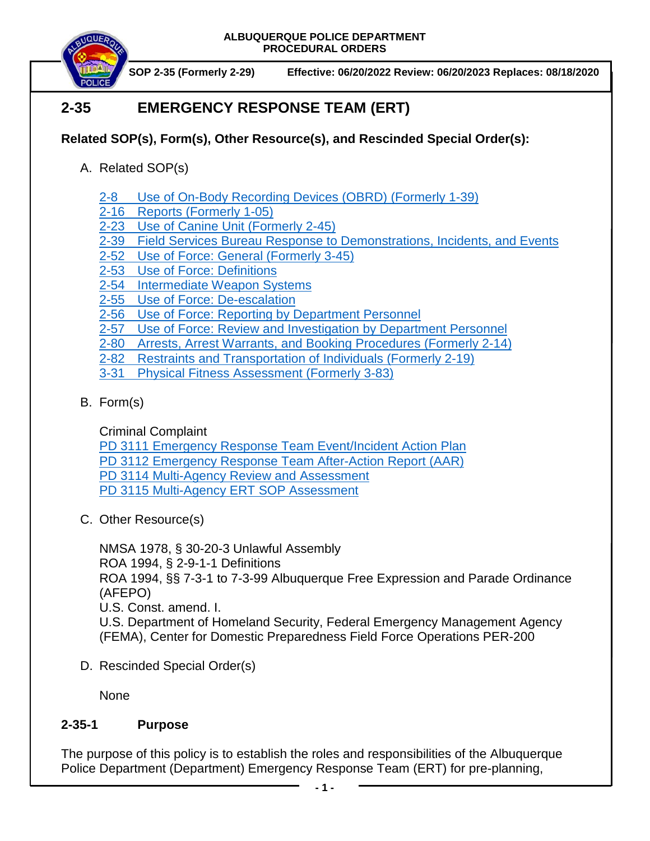

**SOP 2-35 (Formerly 2-29) Effective: 06/20/2022 Review: 06/20/2023 Replaces: 08/18/2020**

# **2-35 EMERGENCY RESPONSE TEAM (ERT)**

- **Related SOP(s), Form(s), Other Resource(s), and Rescinded Special Order(s):**
	- A. Related SOP(s)
		- [2-8 Use of On-Body Recording Devices](https://powerdms.com/docs/1137?q=2-8) (OBRD) (Formerly 1-39)
		- 2-16 [Reports \(Formerly 1-05\)](https://powerdms.com/docs/19?q=2-16)
		- 2-23 [Use of Canine Unit](https://powerdms.com/docs/128?q=2-23) (Formerly 2-45)
		- 2-39 [Field Services Bureau Response to Demonstrations, Incidents, and Events](https://powerdms.com/docs/540?q=2-39)
		- [2-52 Use of Force:](https://powerdms.com/docs/1897088?q=2-52) General (Formerly 3-45)
		- 2-53 [Use of Force: Definitions](https://powerdms.com/docs/1897089?q=2-53)
		- [2-54 Intermediate Weapon Systems](https://powerdms.com/docs/1897091?q=2-54)
		- 2-55 [Use of Force: De-escalation](https://powerdms.com/docs/1897093?q=2-55)
		- 2-56 Use of Force: [Reporting by Department Personnel](https://powerdms.com/docs/1897084?q=2-56)
		- 2-57 [Use of Force: Review and Investigation by Department Personnel](https://powerdms.com/docs/1700599?q=2-57)
		- [2-80 Arrests, Arrest Warrants, and Booking Procedures](https://powerdms.com/docs/97?q=2-80) (Formerly 2-14)
		- 2-82 Restraints [and Transportation of Individuals](https://powerdms.com/docs/102?q=2-82) (Formerly 2-19)
		- [3-31 Physical Fitness Assessment](https://powerdms.com/docs/224?q=3-31) (Formerly 3-83)
	- B. Form(s)

Criminal Complaint

PD 3111 [Emergency Response Team Event/Incident Action Plan](https://powerdms.com/docs/2225270?q=pd%203111)

PD 3112 [Emergency Response Team After-Action Report](https://powerdms.com/docs/2225272?q=pd%203112) (AAR)

PD 3114 [Multi-Agency Review and Assessment](https://powerdms.com/docs/2225280?q=pd%203114)

PD 3115 [Multi-Agency ERT SOP Assessment](https://powerdms.com/docs/2225285?q=pd%203115)

C. Other Resource(s)

NMSA 1978, § 30-20-3 Unlawful Assembly ROA 1994, § 2-9-1-1 Definitions ROA 1994, §§ 7-3-1 to 7-3-99 Albuquerque Free Expression and Parade Ordinance (AFEPO) U.S. Const. amend. I. U.S. Department of Homeland Security, Federal Emergency Management Agency (FEMA), Center for Domestic Preparedness Field Force Operations PER-200

D. Rescinded Special Order(s)

None

## **2-35-1 Purpose**

The purpose of this policy is to establish the roles and responsibilities of the Albuquerque Police Department (Department) Emergency Response Team (ERT) for pre-planning,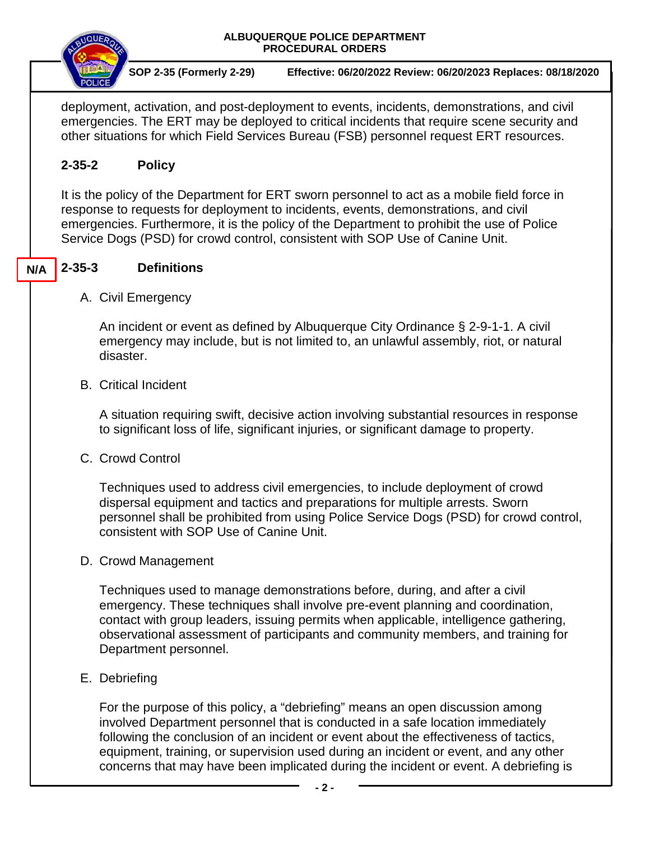

Techniques used to manage demonstrations before, during, and after a civil emergency. These techniques shall involve pre-event planning and coordination, contact with group leaders, issuing permits when applicable, intelligence gathering, observational assessment of participants and community members, and training for Department personnel.

E. Debriefing

For the purpose of this policy, a "debriefing" means an open discussion among involved Department personnel that is conducted in a safe location immediately following the conclusion of an incident or event about the effectiveness of tactics, equipment, training, or supervision used during an incident or event, and any other concerns that may have been implicated during the incident or event. A debriefing is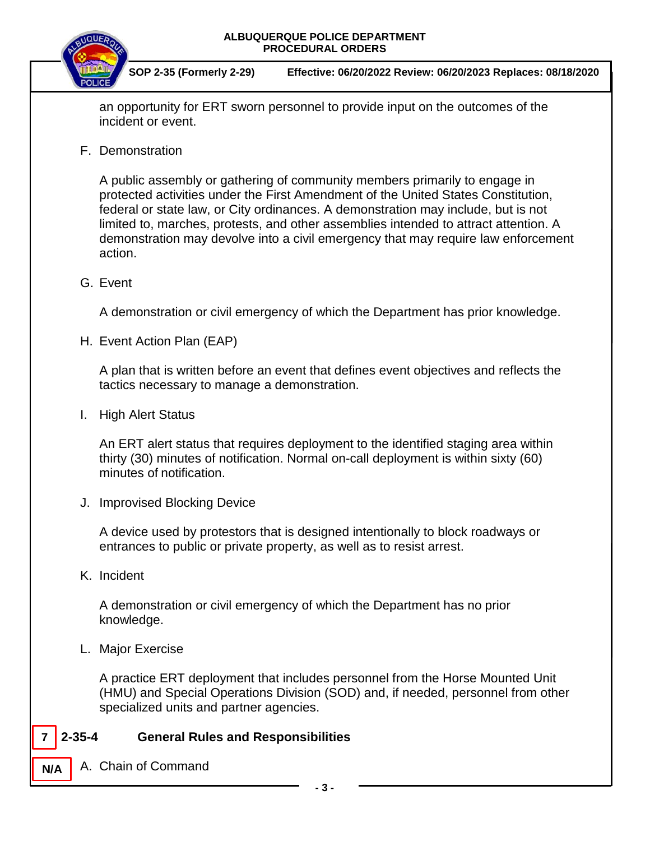

**SOP 2-35 (Formerly 2-29) Effective: 06/20/2022 Review: 06/20/2023 Replaces: 08/18/2020**

an opportunity for ERT sworn personnel to provide input on the outcomes of the incident or event.

F. Demonstration

A public assembly or gathering of community members primarily to engage in protected activities under the First Amendment of the United States Constitution, federal or state law, or City ordinances. A demonstration may include, but is not limited to, marches, protests, and other assemblies intended to attract attention. A demonstration may devolve into a civil emergency that may require law enforcement action.

## G. Event

A demonstration or civil emergency of which the Department has prior knowledge.

H. Event Action Plan (EAP)

A plan that is written before an event that defines event objectives and reflects the tactics necessary to manage a demonstration.

I. High Alert Status

An ERT alert status that requires deployment to the identified staging area within thirty (30) minutes of notification. Normal on-call deployment is within sixty (60) minutes of notification.

J. Improvised Blocking Device

A device used by protestors that is designed intentionally to block roadways or entrances to public or private property, as well as to resist arrest.

K. Incident

**7**

**N/A**

A demonstration or civil emergency of which the Department has no prior knowledge.

L. Major Exercise

A practice ERT deployment that includes personnel from the Horse Mounted Unit (HMU) and Special Operations Division (SOD) and, if needed, personnel from other specialized units and partner agencies.

## **2-35-4 General Rules and Responsibilities**

A. Chain of Command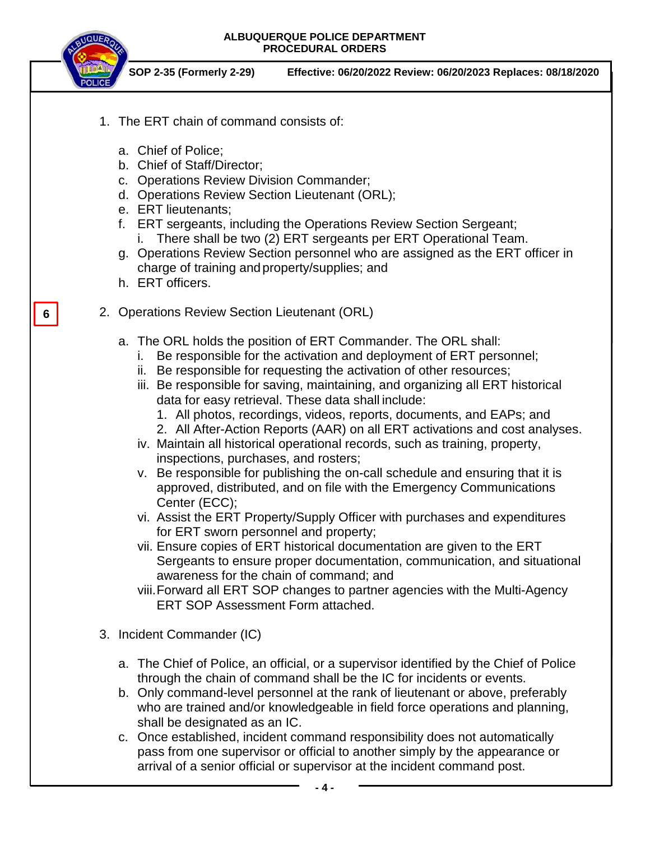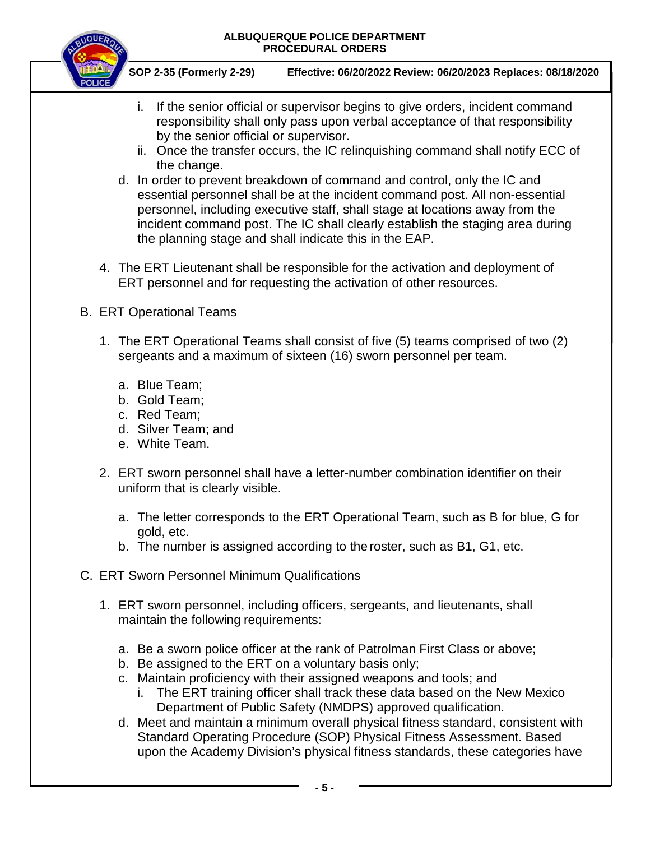

- i. If the senior official or supervisor begins to give orders, incident command responsibility shall only pass upon verbal acceptance of that responsibility by the senior official or supervisor.
- ii. Once the transfer occurs, the IC relinquishing command shall notify ECC of the change.
- d. In order to prevent breakdown of command and control, only the IC and essential personnel shall be at the incident command post. All non-essential personnel, including executive staff, shall stage at locations away from the incident command post. The IC shall clearly establish the staging area during the planning stage and shall indicate this in the EAP.
- 4. The ERT Lieutenant shall be responsible for the activation and deployment of ERT personnel and for requesting the activation of other resources.
- B. ERT Operational Teams
	- 1. The ERT Operational Teams shall consist of five (5) teams comprised of two (2) sergeants and a maximum of sixteen (16) sworn personnel per team.
		- a. Blue Team;
		- b. Gold Team;
		- c. Red Team;
		- d. Silver Team; and
		- e. White Team.
	- 2. ERT sworn personnel shall have a letter-number combination identifier on their uniform that is clearly visible.
		- a. The letter corresponds to the ERT Operational Team, such as B for blue, G for gold, etc.
		- b. The number is assigned according to the roster, such as B1, G1, etc.
- C. ERT Sworn Personnel Minimum Qualifications
	- 1. ERT sworn personnel, including officers, sergeants, and lieutenants, shall maintain the following requirements:
		- a. Be a sworn police officer at the rank of Patrolman First Class or above;
		- b. Be assigned to the ERT on a voluntary basis only;
		- c. Maintain proficiency with their assigned weapons and tools; and
			- i. The ERT training officer shall track these data based on the New Mexico Department of Public Safety (NMDPS) approved qualification.
		- d. Meet and maintain a minimum overall physical fitness standard, consistent with Standard Operating Procedure (SOP) Physical Fitness Assessment. Based upon the Academy Division's physical fitness standards, these categories have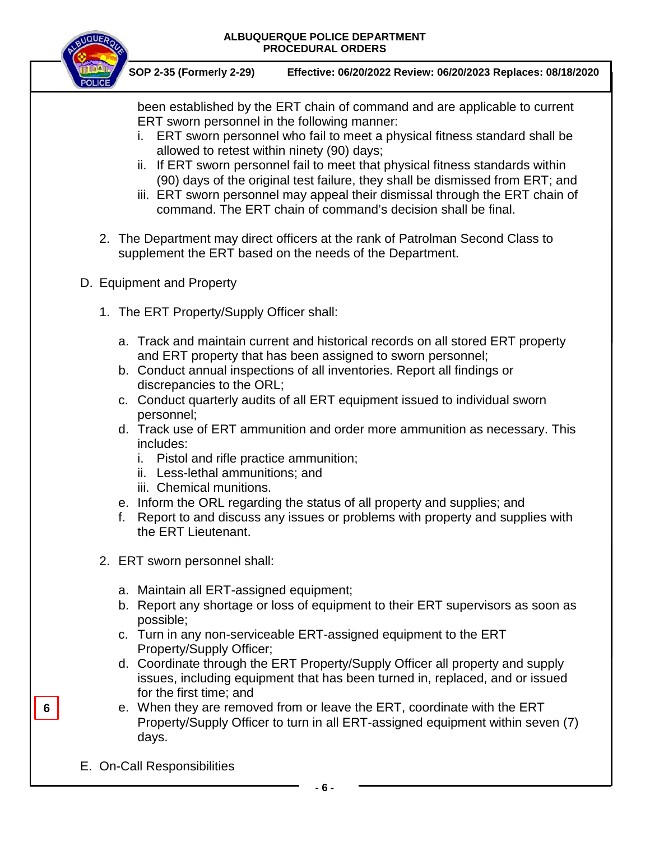

**SOP 2-35 (Formerly 2-29) Effective: 06/20/2022 Review: 06/20/2023 Replaces: 08/18/2020**

been established by the ERT chain of command and are applicable to current ERT sworn personnel in the following manner:

- i. ERT sworn personnel who fail to meet a physical fitness standard shall be allowed to retest within ninety (90) days;
- ii. If ERT sworn personnel fail to meet that physical fitness standards within (90) days of the original test failure, they shall be dismissed from ERT; and
- iii. ERT sworn personnel may appeal their dismissal through the ERT chain of command. The ERT chain of command's decision shall be final.
- 2. The Department may direct officers at the rank of Patrolman Second Class to supplement the ERT based on the needs of the Department.
- D. Equipment and Property
	- 1. The ERT Property/Supply Officer shall:
		- a. Track and maintain current and historical records on all stored ERT property and ERT property that has been assigned to sworn personnel;
		- b. Conduct annual inspections of all inventories. Report all findings or discrepancies to the ORL;
		- c. Conduct quarterly audits of all ERT equipment issued to individual sworn personnel;
		- d. Track use of ERT ammunition and order more ammunition as necessary. This includes:
			- i. Pistol and rifle practice ammunition;
			- ii. Less-lethal ammunitions; and
			- iii. Chemical munitions.
		- e. Inform the ORL regarding the status of all property and supplies; and
		- f. Report to and discuss any issues or problems with property and supplies with the ERT Lieutenant.
	- 2. ERT sworn personnel shall:
		- a. Maintain all ERT-assigned equipment;
		- b. Report any shortage or loss of equipment to their ERT supervisors as soon as possible;
		- c. Turn in any non-serviceable ERT-assigned equipment to the ERT Property/Supply Officer;
		- d. Coordinate through the ERT Property/Supply Officer all property and supply issues, including equipment that has been turned in, replaced, and or issued for the first time; and
		- e. When they are removed from or leave the ERT, coordinate with the ERT Property/Supply Officer to turn in all ERT-assigned equipment within seven (7) days.
- E. On-Call Responsibilities

**6**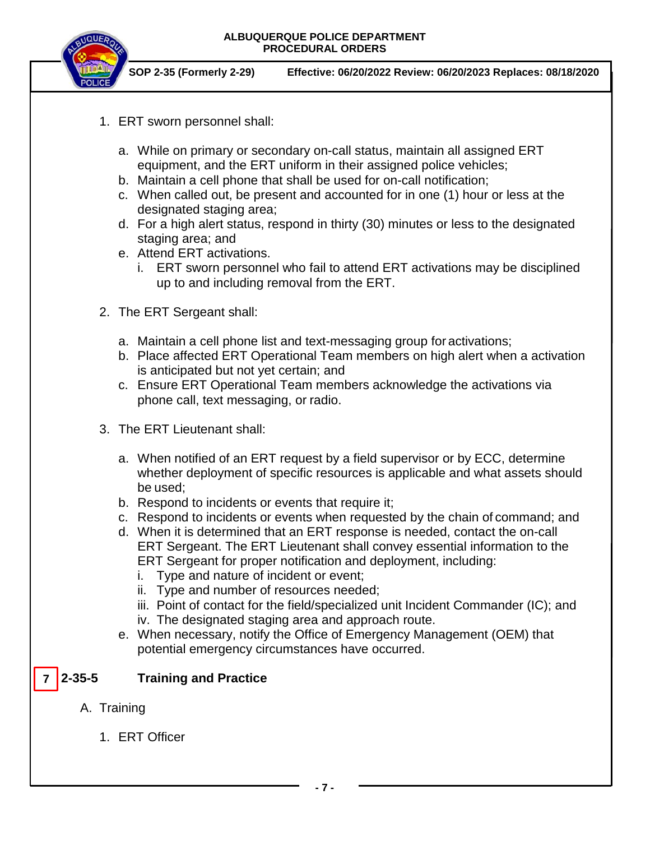



**SOP 2-35 (Formerly 2-29) Effective: 06/20/2022 Review: 06/20/2023 Replaces: 08/18/2020**

- 1. ERT sworn personnel shall:
	- a. While on primary or secondary on-call status, maintain all assigned ERT equipment, and the ERT uniform in their assigned police vehicles;
	- b. Maintain a cell phone that shall be used for on-call notification;
	- c. When called out, be present and accounted for in one (1) hour or less at the designated staging area;
	- d. For a high alert status, respond in thirty (30) minutes or less to the designated staging area; and
	- e. Attend ERT activations.
		- i. ERT sworn personnel who fail to attend ERT activations may be disciplined up to and including removal from the ERT.
- 2. The ERT Sergeant shall:
	- a. Maintain a cell phone list and text-messaging group for activations;
	- b. Place affected ERT Operational Team members on high alert when a activation is anticipated but not yet certain; and
	- c. Ensure ERT Operational Team members acknowledge the activations via phone call, text messaging, or radio.
- 3. The ERT Lieutenant shall:
	- a. When notified of an ERT request by a field supervisor or by ECC, determine whether deployment of specific resources is applicable and what assets should be used;
	- b. Respond to incidents or events that require it;
	- c. Respond to incidents or events when requested by the chain of command; and
	- d. When it is determined that an ERT response is needed, contact the on-call ERT Sergeant. The ERT Lieutenant shall convey essential information to the ERT Sergeant for proper notification and deployment, including:
		- i. Type and nature of incident or event;
		- ii. Type and number of resources needed;
		- iii. Point of contact for the field/specialized unit Incident Commander (IC); and
		- iv. The designated staging area and approach route.
	- e. When necessary, notify the Office of Emergency Management (OEM) that potential emergency circumstances have occurred.

#### **2-35-5 Training and Practice 7**

- A. Training
	- 1. ERT Officer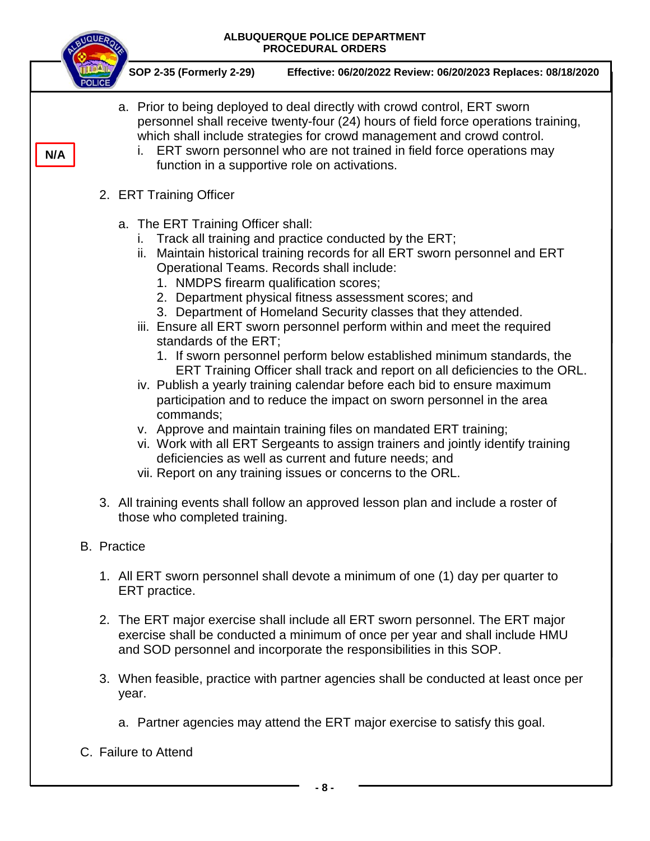

- a. Partner agencies may attend the ERT major exercise to satisfy this goal.
- C. Failure to Attend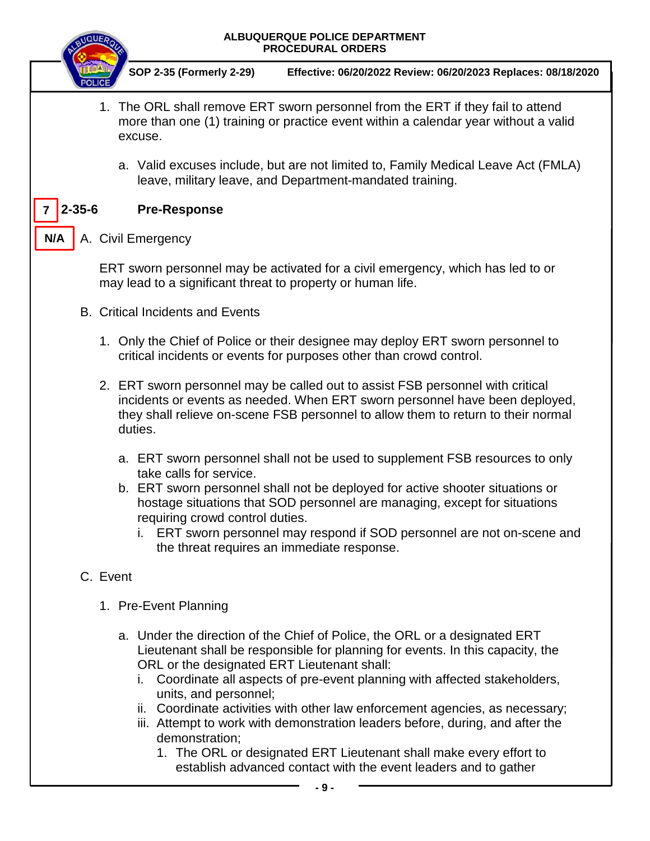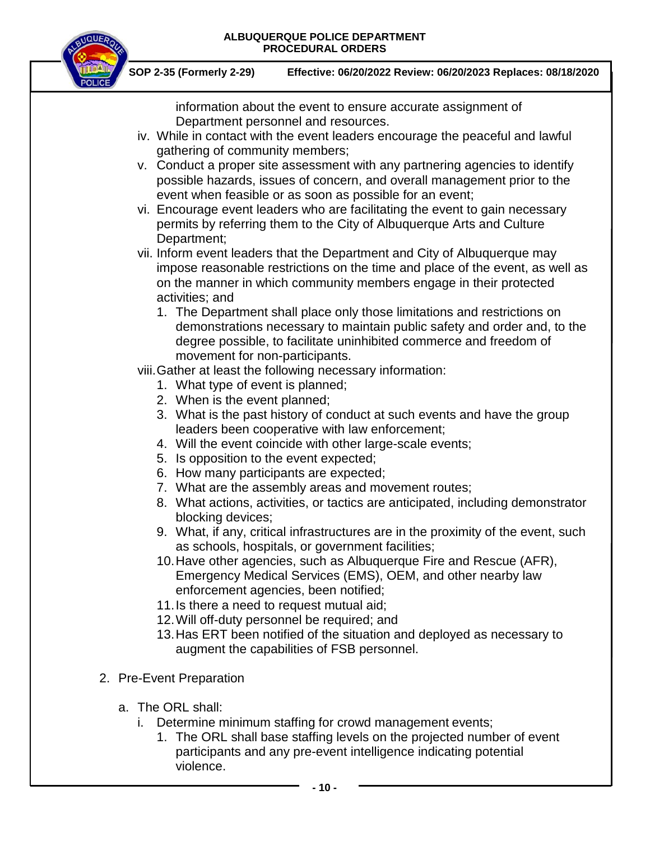

**SOP 2-35 (Formerly 2-29) Effective: 06/20/2022 Review: 06/20/2023 Replaces: 08/18/2020**

information about the event to ensure accurate assignment of Department personnel and resources.

- iv. While in contact with the event leaders encourage the peaceful and lawful gathering of community members;
- v. Conduct a proper site assessment with any partnering agencies to identify possible hazards, issues of concern, and overall management prior to the event when feasible or as soon as possible for an event;
- vi. Encourage event leaders who are facilitating the event to gain necessary permits by referring them to the City of Albuquerque Arts and Culture Department;

vii. Inform event leaders that the Department and City of Albuquerque may impose reasonable restrictions on the time and place of the event, as well as on the manner in which community members engage in their protected activities; and

1. The Department shall place only those limitations and restrictions on demonstrations necessary to maintain public safety and order and, to the degree possible, to facilitate uninhibited commerce and freedom of movement for non-participants.

viii.Gather at least the following necessary information:

- 1. What type of event is planned;
- 2. When is the event planned;
- 3. What is the past history of conduct at such events and have the group leaders been cooperative with law enforcement;
- 4. Will the event coincide with other large-scale events;
- 5. Is opposition to the event expected;
- 6. How many participants are expected;
- 7. What are the assembly areas and movement routes;
- 8. What actions, activities, or tactics are anticipated, including demonstrator blocking devices;
- 9. What, if any, critical infrastructures are in the proximity of the event, such as schools, hospitals, or government facilities;
- 10.Have other agencies, such as Albuquerque Fire and Rescue (AFR), Emergency Medical Services (EMS), OEM, and other nearby law enforcement agencies, been notified;
- 11.Is there a need to request mutual aid;
- 12.Will off-duty personnel be required; and
- 13.Has ERT been notified of the situation and deployed as necessary to augment the capabilities of FSB personnel.
- 2. Pre-Event Preparation
	- a. The ORL shall:
		- i. Determine minimum staffing for crowd management events;
			- 1. The ORL shall base staffing levels on the projected number of event participants and any pre-event intelligence indicating potential violence.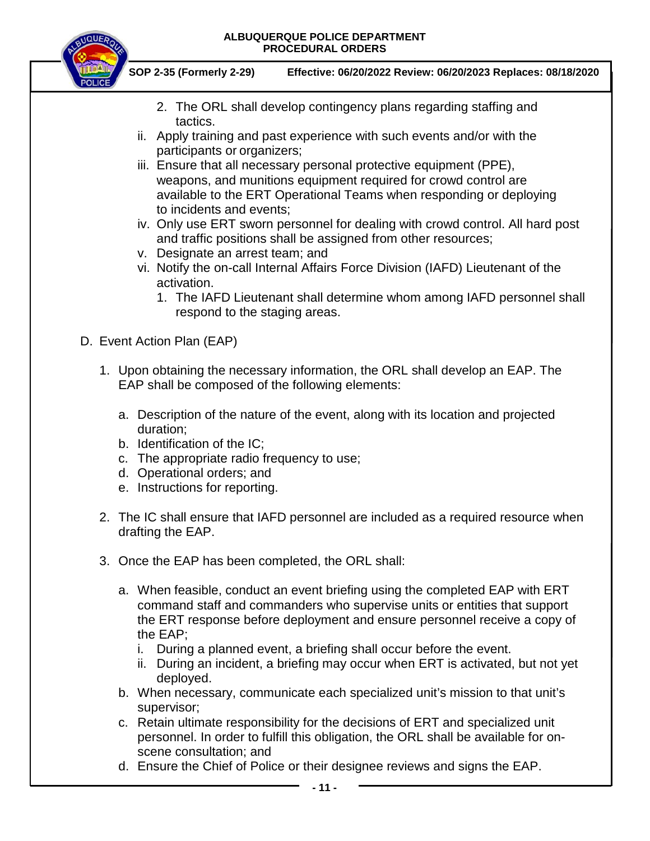

- 2. The ORL shall develop contingency plans regarding staffing and tactics.
- ii. Apply training and past experience with such events and/or with the participants or organizers;
- iii. Ensure that all necessary personal protective equipment (PPE), weapons, and munitions equipment required for crowd control are available to the ERT Operational Teams when responding or deploying to incidents and events;
- iv. Only use ERT sworn personnel for dealing with crowd control. All hard post and traffic positions shall be assigned from other resources;
- v. Designate an arrest team; and
- vi. Notify the on-call Internal Affairs Force Division (IAFD) Lieutenant of the activation.
	- 1. The IAFD Lieutenant shall determine whom among IAFD personnel shall respond to the staging areas.
- D. Event Action Plan (EAP)
	- 1. Upon obtaining the necessary information, the ORL shall develop an EAP. The EAP shall be composed of the following elements:
		- a. Description of the nature of the event, along with its location and projected duration;
		- b. Identification of the IC;
		- c. The appropriate radio frequency to use;
		- d. Operational orders; and
		- e. Instructions for reporting.
	- 2. The IC shall ensure that IAFD personnel are included as a required resource when drafting the EAP.
	- 3. Once the EAP has been completed, the ORL shall:
		- a. When feasible, conduct an event briefing using the completed EAP with ERT command staff and commanders who supervise units or entities that support the ERT response before deployment and ensure personnel receive a copy of the EAP;
			- i. During a planned event, a briefing shall occur before the event.
			- ii. During an incident, a briefing may occur when ERT is activated, but not yet deployed.
		- b. When necessary, communicate each specialized unit's mission to that unit's supervisor;
		- c. Retain ultimate responsibility for the decisions of ERT and specialized unit personnel. In order to fulfill this obligation, the ORL shall be available for onscene consultation; and
		- d. Ensure the Chief of Police or their designee reviews and signs the EAP.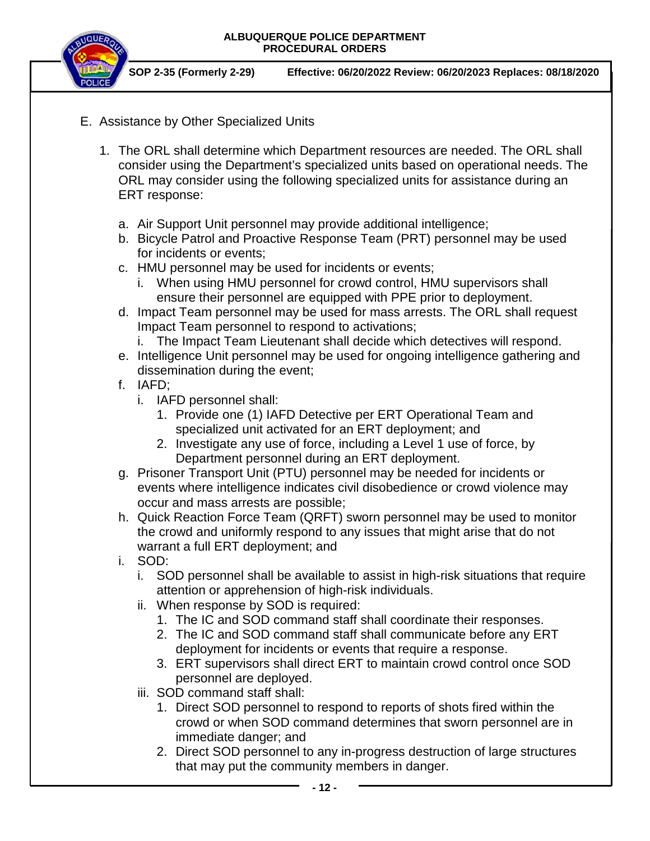

- E. Assistance by Other Specialized Units
	- 1. The ORL shall determine which Department resources are needed. The ORL shall consider using the Department's specialized units based on operational needs. The ORL may consider using the following specialized units for assistance during an ERT response:
		- a. Air Support Unit personnel may provide additional intelligence;
		- b. Bicycle Patrol and Proactive Response Team (PRT) personnel may be used for incidents or events;
		- c. HMU personnel may be used for incidents or events;
			- i. When using HMU personnel for crowd control, HMU supervisors shall ensure their personnel are equipped with PPE prior to deployment.
		- d. Impact Team personnel may be used for mass arrests. The ORL shall request Impact Team personnel to respond to activations;
			- i. The Impact Team Lieutenant shall decide which detectives will respond.
		- e. Intelligence Unit personnel may be used for ongoing intelligence gathering and dissemination during the event;
		- f. IAFD;
			- i. IAFD personnel shall:
				- 1. Provide one (1) IAFD Detective per ERT Operational Team and specialized unit activated for an ERT deployment; and
				- 2. Investigate any use of force, including a Level 1 use of force, by Department personnel during an ERT deployment.
		- g. Prisoner Transport Unit (PTU) personnel may be needed for incidents or events where intelligence indicates civil disobedience or crowd violence may occur and mass arrests are possible;
		- h. Quick Reaction Force Team (QRFT) sworn personnel may be used to monitor the crowd and uniformly respond to any issues that might arise that do not warrant a full ERT deployment; and
		- i. SOD:
			- i. SOD personnel shall be available to assist in high-risk situations that require attention or apprehension of high-risk individuals.
			- ii. When response by SOD is required:
				- 1. The IC and SOD command staff shall coordinate their responses.
				- 2. The IC and SOD command staff shall communicate before any ERT deployment for incidents or events that require a response.
				- 3. ERT supervisors shall direct ERT to maintain crowd control once SOD personnel are deployed.
			- iii. SOD command staff shall:
				- 1. Direct SOD personnel to respond to reports of shots fired within the crowd or when SOD command determines that sworn personnel are in immediate danger; and
				- 2. Direct SOD personnel to any in-progress destruction of large structures that may put the community members in danger.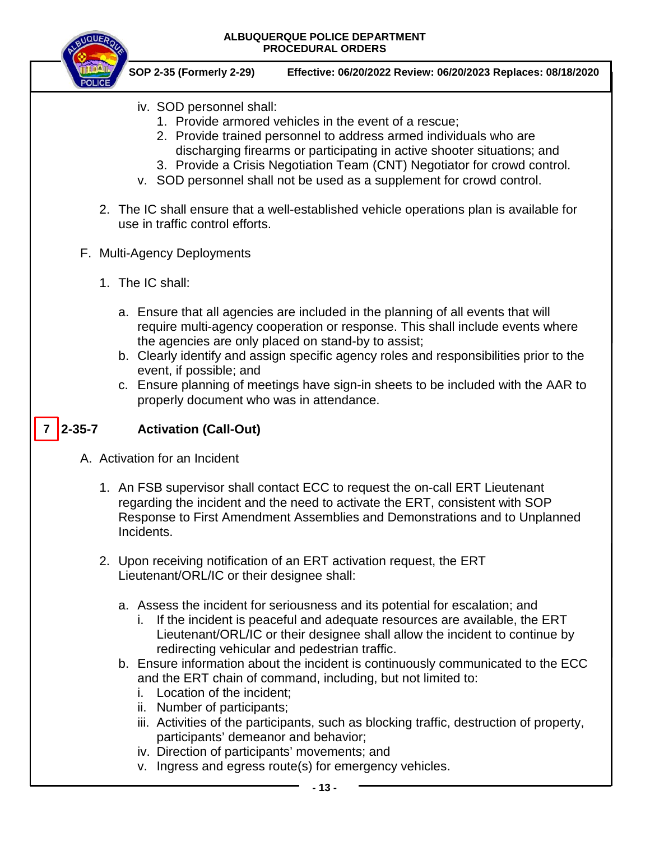

- iv. Direction of participants' movements; and
- v. Ingress and egress route(s) for emergency vehicles.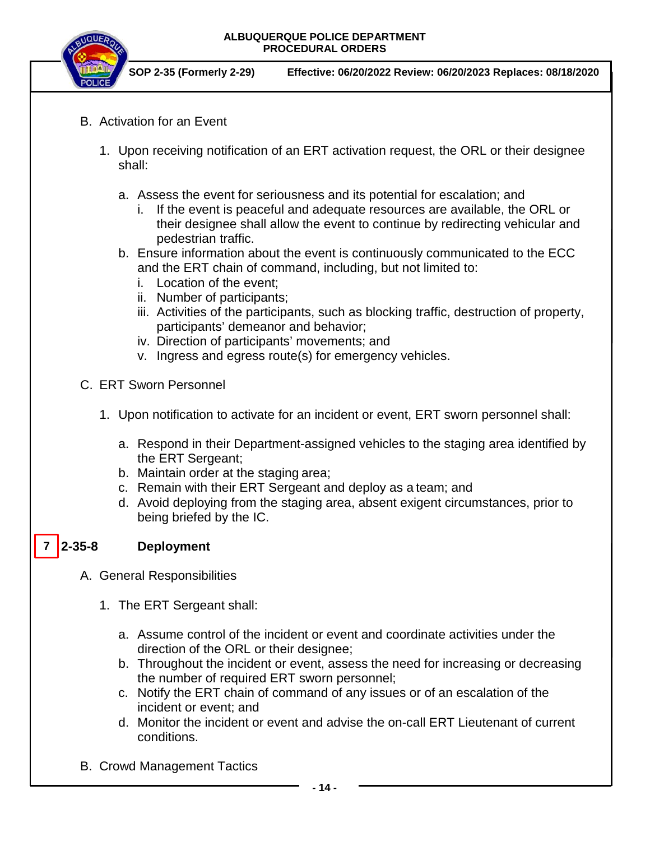

**SOP 2-35 (Formerly 2-29) Effective: 06/20/2022 Review: 06/20/2023 Replaces: 08/18/2020**

- B. Activation for an Event
	- 1. Upon receiving notification of an ERT activation request, the ORL or their designee shall:
		- a. Assess the event for seriousness and its potential for escalation; and
			- i. If the event is peaceful and adequate resources are available, the ORL or their designee shall allow the event to continue by redirecting vehicular and pedestrian traffic.
		- b. Ensure information about the event is continuously communicated to the ECC and the ERT chain of command, including, but not limited to:
			- i. Location of the event;
			- ii. Number of participants;
			- iii. Activities of the participants, such as blocking traffic, destruction of property, participants' demeanor and behavior;
			- iv. Direction of participants' movements; and
			- v. Ingress and egress route(s) for emergency vehicles.
- C. ERT Sworn Personnel
	- 1. Upon notification to activate for an incident or event, ERT sworn personnel shall:
		- a. Respond in their Department-assigned vehicles to the staging area identified by the ERT Sergeant;
		- b. Maintain order at the staging area;
		- c. Remain with their ERT Sergeant and deploy as a team; and
		- d. Avoid deploying from the staging area, absent exigent circumstances, prior to being briefed by the IC.

#### Deployment **7**

- A. General Responsibilities
	- 1. The ERT Sergeant shall:
		- a. Assume control of the incident or event and coordinate activities under the direction of the ORL or their designee;
		- b. Throughout the incident or event, assess the need for increasing or decreasing the number of required ERT sworn personnel;
		- c. Notify the ERT chain of command of any issues or of an escalation of the incident or event; and
		- d. Monitor the incident or event and advise the on-call ERT Lieutenant of current conditions.
- B. Crowd Management Tactics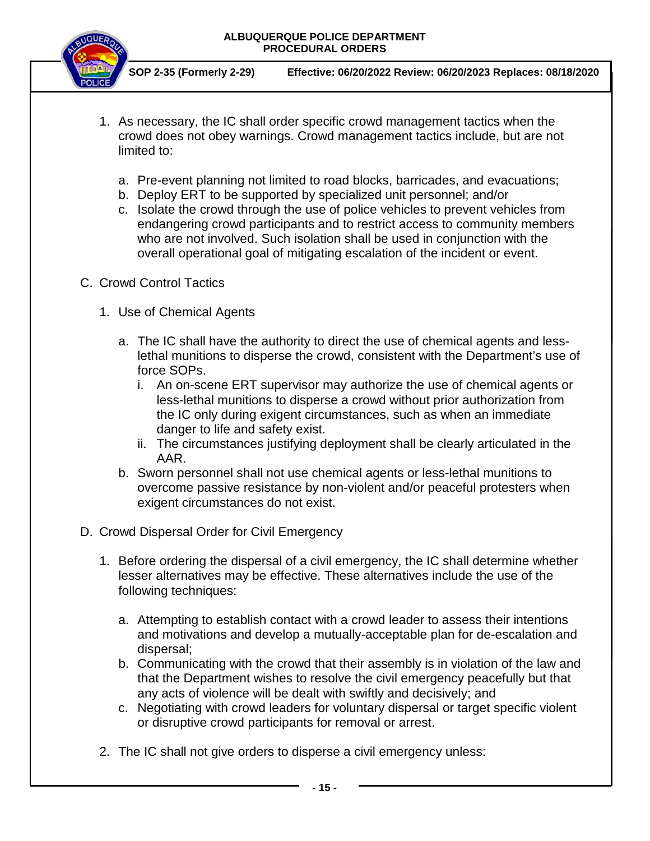

- 1. As necessary, the IC shall order specific crowd management tactics when the crowd does not obey warnings. Crowd management tactics include, but are not limited to:
	- a. Pre-event planning not limited to road blocks, barricades, and evacuations;
	- b. Deploy ERT to be supported by specialized unit personnel; and/or
	- c. Isolate the crowd through the use of police vehicles to prevent vehicles from endangering crowd participants and to restrict access to community members who are not involved. Such isolation shall be used in conjunction with the overall operational goal of mitigating escalation of the incident or event.
- C. Crowd Control Tactics
	- 1. Use of Chemical Agents
		- a. The IC shall have the authority to direct the use of chemical agents and lesslethal munitions to disperse the crowd, consistent with the Department's use of force SOPs.
			- i. An on-scene ERT supervisor may authorize the use of chemical agents or less-lethal munitions to disperse a crowd without prior authorization from the IC only during exigent circumstances, such as when an immediate danger to life and safety exist.
			- ii. The circumstances justifying deployment shall be clearly articulated in the AAR.
		- b. Sworn personnel shall not use chemical agents or less-lethal munitions to overcome passive resistance by non-violent and/or peaceful protesters when exigent circumstances do not exist.
- D. Crowd Dispersal Order for Civil Emergency
	- 1. Before ordering the dispersal of a civil emergency, the IC shall determine whether lesser alternatives may be effective. These alternatives include the use of the following techniques:
		- a. Attempting to establish contact with a crowd leader to assess their intentions and motivations and develop a mutually-acceptable plan for de-escalation and dispersal;
		- b. Communicating with the crowd that their assembly is in violation of the law and that the Department wishes to resolve the civil emergency peacefully but that any acts of violence will be dealt with swiftly and decisively; and
		- c. Negotiating with crowd leaders for voluntary dispersal or target specific violent or disruptive crowd participants for removal or arrest.
	- 2. The IC shall not give orders to disperse a civil emergency unless: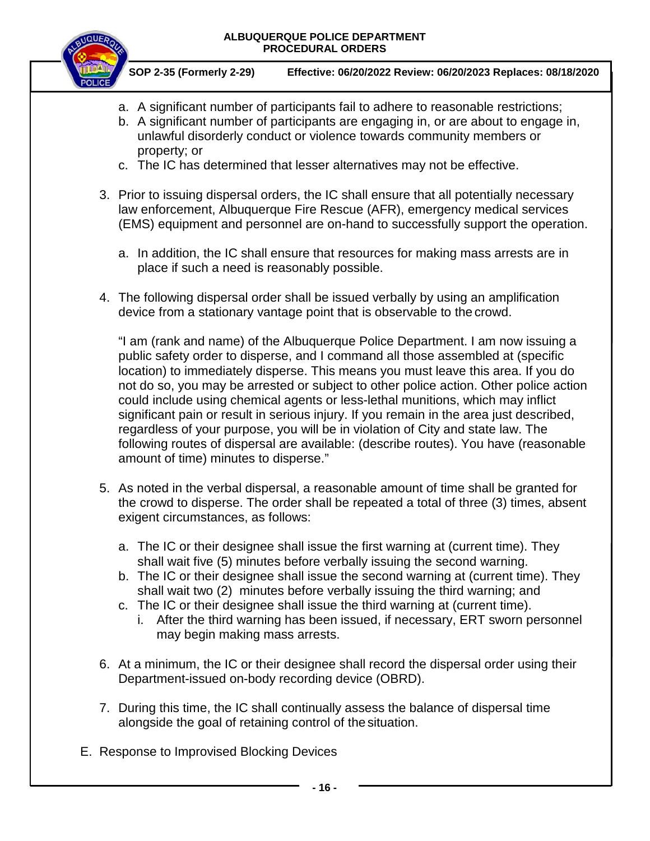

**SOP 2-35 (Formerly 2-29) Effective: 06/20/2022 Review: 06/20/2023 Replaces: 08/18/2020**

- a. A significant number of participants fail to adhere to reasonable restrictions;
- b. A significant number of participants are engaging in, or are about to engage in, unlawful disorderly conduct or violence towards community members or property; or
- c. The IC has determined that lesser alternatives may not be effective.
- 3. Prior to issuing dispersal orders, the IC shall ensure that all potentially necessary law enforcement, Albuquerque Fire Rescue (AFR), emergency medical services (EMS) equipment and personnel are on-hand to successfully support the operation.
	- a. In addition, the IC shall ensure that resources for making mass arrests are in place if such a need is reasonably possible.
- 4. The following dispersal order shall be issued verbally by using an amplification device from a stationary vantage point that is observable to the crowd.

"I am (rank and name) of the Albuquerque Police Department. I am now issuing a public safety order to disperse, and I command all those assembled at (specific location) to immediately disperse. This means you must leave this area. If you do not do so, you may be arrested or subject to other police action. Other police action could include using chemical agents or less-lethal munitions, which may inflict significant pain or result in serious injury. If you remain in the area just described, regardless of your purpose, you will be in violation of City and state law. The following routes of dispersal are available: (describe routes). You have (reasonable amount of time) minutes to disperse."

- 5. As noted in the verbal dispersal, a reasonable amount of time shall be granted for the crowd to disperse. The order shall be repeated a total of three (3) times, absent exigent circumstances, as follows:
	- a. The IC or their designee shall issue the first warning at (current time). They shall wait five (5) minutes before verbally issuing the second warning.
	- b. The IC or their designee shall issue the second warning at (current time). They shall wait two (2) minutes before verbally issuing the third warning; and
	- c. The IC or their designee shall issue the third warning at (current time).
		- i. After the third warning has been issued, if necessary, ERT sworn personnel may begin making mass arrests.
- 6. At a minimum, the IC or their designee shall record the dispersal order using their Department-issued on-body recording device (OBRD).
- 7. During this time, the IC shall continually assess the balance of dispersal time alongside the goal of retaining control of the situation.
- E. Response to Improvised Blocking Devices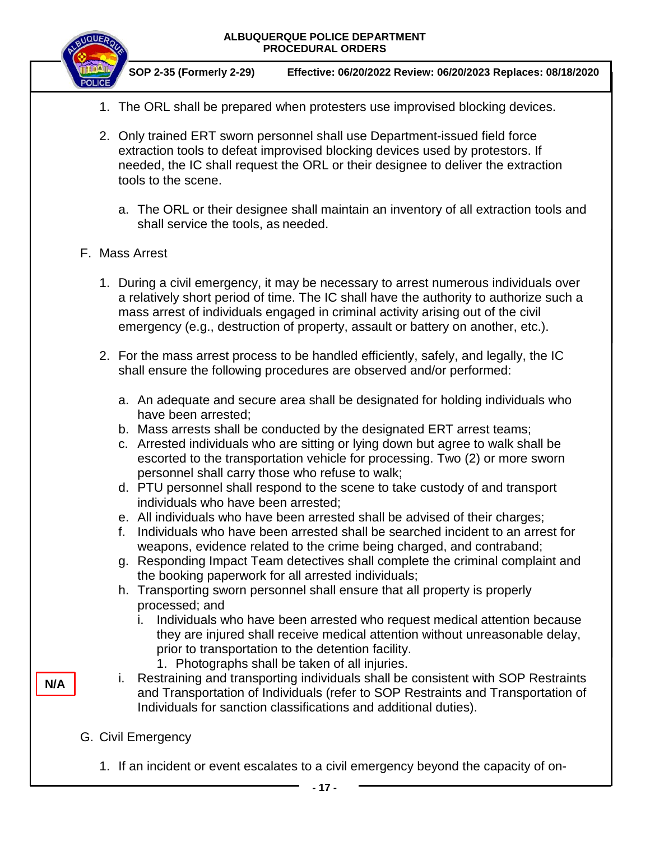|     | ALBUQUERQUE POLICE DEPARTMENT<br><b>PROCEDURAL ORDERS</b>                                                                                                                                                                                                                                                                                                                                                                                                                                                                |
|-----|--------------------------------------------------------------------------------------------------------------------------------------------------------------------------------------------------------------------------------------------------------------------------------------------------------------------------------------------------------------------------------------------------------------------------------------------------------------------------------------------------------------------------|
|     | SOP 2-35 (Formerly 2-29)<br>Effective: 06/20/2022 Review: 06/20/2023 Replaces: 08/18/2020                                                                                                                                                                                                                                                                                                                                                                                                                                |
|     | 1. The ORL shall be prepared when protesters use improvised blocking devices.                                                                                                                                                                                                                                                                                                                                                                                                                                            |
|     | 2. Only trained ERT sworn personnel shall use Department-issued field force<br>extraction tools to defeat improvised blocking devices used by protestors. If<br>needed, the IC shall request the ORL or their designee to deliver the extraction<br>tools to the scene.                                                                                                                                                                                                                                                  |
|     | a. The ORL or their designee shall maintain an inventory of all extraction tools and<br>shall service the tools, as needed.                                                                                                                                                                                                                                                                                                                                                                                              |
|     | F. Mass Arrest                                                                                                                                                                                                                                                                                                                                                                                                                                                                                                           |
|     | 1. During a civil emergency, it may be necessary to arrest numerous individuals over<br>a relatively short period of time. The IC shall have the authority to authorize such a<br>mass arrest of individuals engaged in criminal activity arising out of the civil<br>emergency (e.g., destruction of property, assault or battery on another, etc.).                                                                                                                                                                    |
|     | 2. For the mass arrest process to be handled efficiently, safely, and legally, the IC<br>shall ensure the following procedures are observed and/or performed:                                                                                                                                                                                                                                                                                                                                                            |
|     | a. An adequate and secure area shall be designated for holding individuals who<br>have been arrested;                                                                                                                                                                                                                                                                                                                                                                                                                    |
|     | b. Mass arrests shall be conducted by the designated ERT arrest teams;<br>c. Arrested individuals who are sitting or lying down but agree to walk shall be<br>escorted to the transportation vehicle for processing. Two (2) or more sworn<br>personnel shall carry those who refuse to walk;                                                                                                                                                                                                                            |
|     | d. PTU personnel shall respond to the scene to take custody of and transport<br>individuals who have been arrested;                                                                                                                                                                                                                                                                                                                                                                                                      |
|     | e. All individuals who have been arrested shall be advised of their charges;<br>Individuals who have been arrested shall be searched incident to an arrest for<br>f.                                                                                                                                                                                                                                                                                                                                                     |
|     | weapons, evidence related to the crime being charged, and contraband;<br>g. Responding Impact Team detectives shall complete the criminal complaint and                                                                                                                                                                                                                                                                                                                                                                  |
|     | the booking paperwork for all arrested individuals;<br>h. Transporting sworn personnel shall ensure that all property is properly<br>processed; and                                                                                                                                                                                                                                                                                                                                                                      |
| N/A | Individuals who have been arrested who request medical attention because<br>i.<br>they are injured shall receive medical attention without unreasonable delay,<br>prior to transportation to the detention facility.<br>1. Photographs shall be taken of all injuries.<br>Restraining and transporting individuals shall be consistent with SOP Restraints<br>i.<br>and Transportation of Individuals (refer to SOP Restraints and Transportation of<br>Individuals for sanction classifications and additional duties). |
|     | G. Civil Emergency                                                                                                                                                                                                                                                                                                                                                                                                                                                                                                       |
|     | 1. If an incident or event escalates to a civil emergency beyond the capacity of on-                                                                                                                                                                                                                                                                                                                                                                                                                                     |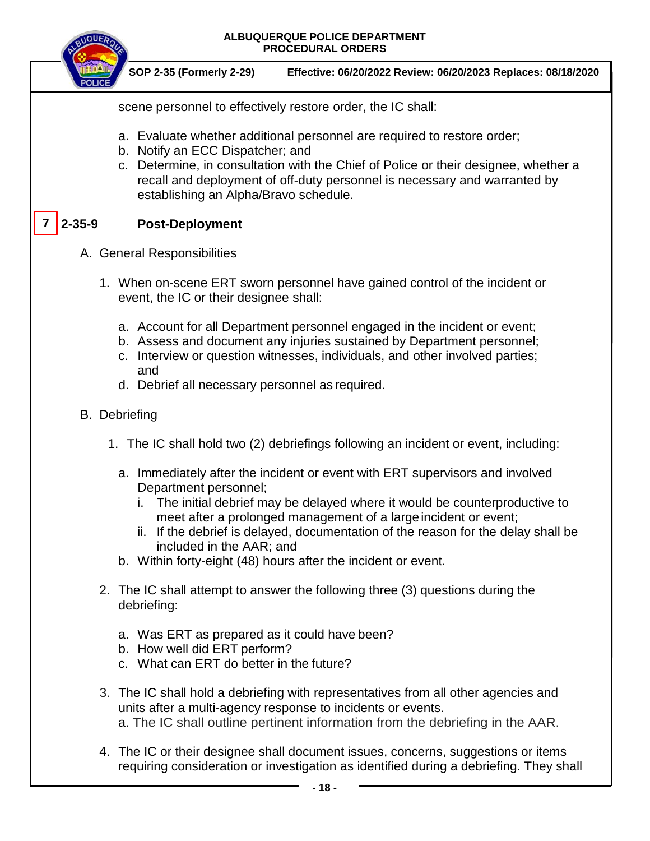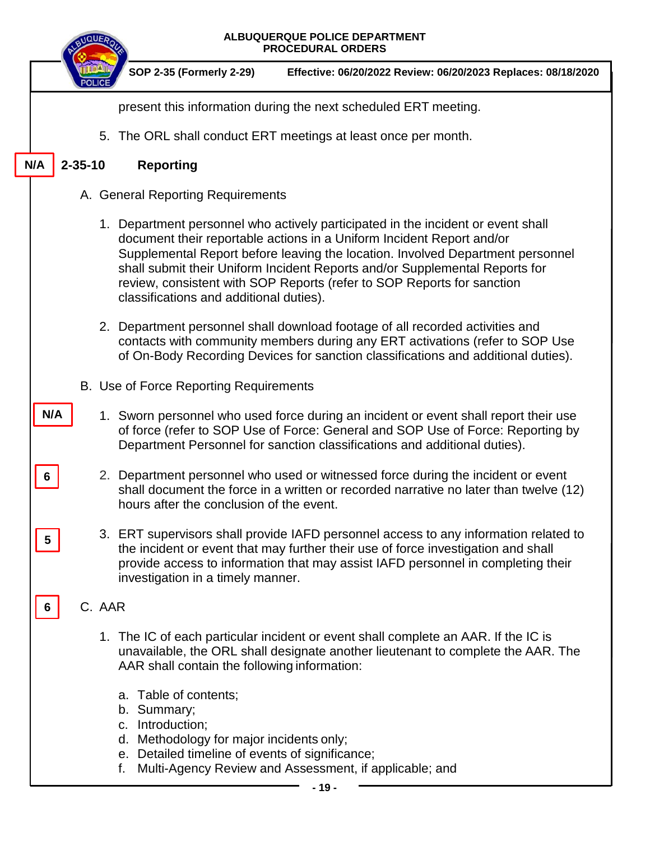